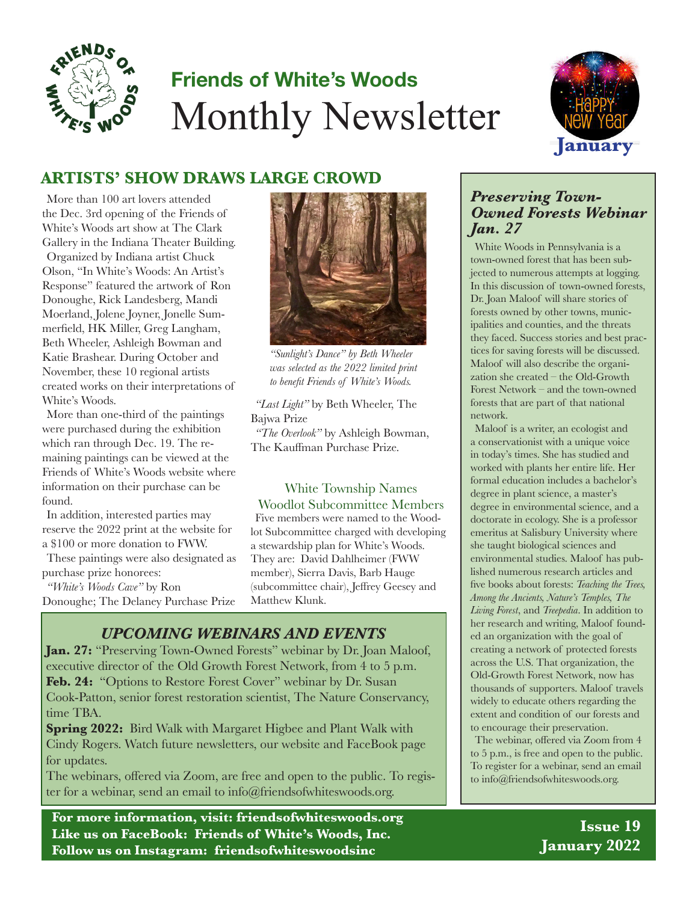

# **Friends of White's Woods** Monthly Newsletter



### **ARTISTS' SHOW DRAWS LARGE CROWD**

More than 100 art lovers attended the Dec. 3rd opening of the Friends of White's Woods art show at The Clark Gallery in the Indiana Theater Building. Organized by Indiana artist Chuck Olson, "In White's Woods: An Artist's Response" featured the artwork of Ron Donoughe, Rick Landesberg, Mandi Moerland, Jolene Joyner, Jonelle Summerfield, HK Miller, Greg Langham, Beth Wheeler, Ashleigh Bowman and Katie Brashear. During October and November, these 10 regional artists created works on their interpretations of White's Woods.

More than one-third of the paintings were purchased during the exhibition which ran through Dec. 19. The remaining paintings can be viewed at the Friends of White's Woods website where information on their purchase can be found.

In addition, interested parties may reserve the 2022 print at the website for a \$100 or more donation to FWW.

These paintings were also designated as purchase prize honorees:

*"White's Woods Cave"* by Ron Donoughe; The Delaney Purchase Prize



*"Sunlight's Dance" by Beth Wheeler was selected as the 2022 limited print to benefit Friends of White's Woods.*

*"Last Light"* by Beth Wheeler, The Bajwa Prize

*"The Overlook"* by Ashleigh Bowman, The Kauffman Purchase Prize.

#### White Township Names

Five members were named to the Woodlot Subcommittee charged with developing a stewardship plan for White's Woods. They are: David Dahlheimer (FWW member), Sierra Davis, Barb Hauge (subcommittee chair), Jeffrey Geesey and Matthew Klunk. Woodlot Subcommittee Members

#### *UPCOMING WEBINARS AND EVENTS*

**Jan. 27:** "Preserving Town-Owned Forests" webinar by Dr. Joan Maloof, executive director of the Old Growth Forest Network, from 4 to 5 p.m. Feb. 24: "Options to Restore Forest Cover" webinar by Dr. Susan Cook-Patton, senior forest restoration scientist, The Nature Conservancy, time TBA.

**Spring 2022:** Bird Walk with Margaret Higbee and Plant Walk with Cindy Rogers. Watch future newsletters, our website and FaceBook page for updates.

The webinars, offered via Zoom, are free and open to the public. To register for a webinar, send an email to info@friendsofwhiteswoods.org.

**For more information, visit: friendsofwhiteswoods.org Like us on FaceBook: Friends of White's Woods, Inc. Follow us on Instagram: friendsofwhiteswoodsinc**

#### *Preserving Town-Owned Forests Webinar Jan. 27*

White Woods in Pennsylvania is a town-owned forest that has been subjected to numerous attempts at logging. In this discussion of town-owned forests, Dr. Joan Maloof will share stories of forests owned by other towns, municipalities and counties, and the threats they faced. Success stories and best practices for saving forests will be discussed. Maloof will also describe the organization she created – the Old-Growth Forest Network – and the town-owned forests that are part of that national network.

Maloof is a writer, an ecologist and a conservationist with a unique voice in today's times. She has studied and worked with plants her entire life. Her formal education includes a bachelor's degree in plant science, a master's degree in environmental science, and a doctorate in ecology. She is a professor emeritus at Salisbury University where she taught biological sciences and environmental studies. Maloof has published numerous research articles and five books about forests: *Teaching the Trees, Among the Ancients, Nature's Temples, The Living Forest*, and *Treepedia*. In addition to her research and writing, Maloof founded an organization with the goal of creating a network of protected forests across the U.S. That organization, the Old-Growth Forest Network, now has thousands of supporters. Maloof travels widely to educate others regarding the extent and condition of our forests and to encourage their preservation.

The webinar, offered via Zoom from 4 to 5 p.m., is free and open to the public. To register for a webinar, send an email to info@friendsofwhiteswoods.org.

> **Issue 19 January 2022**